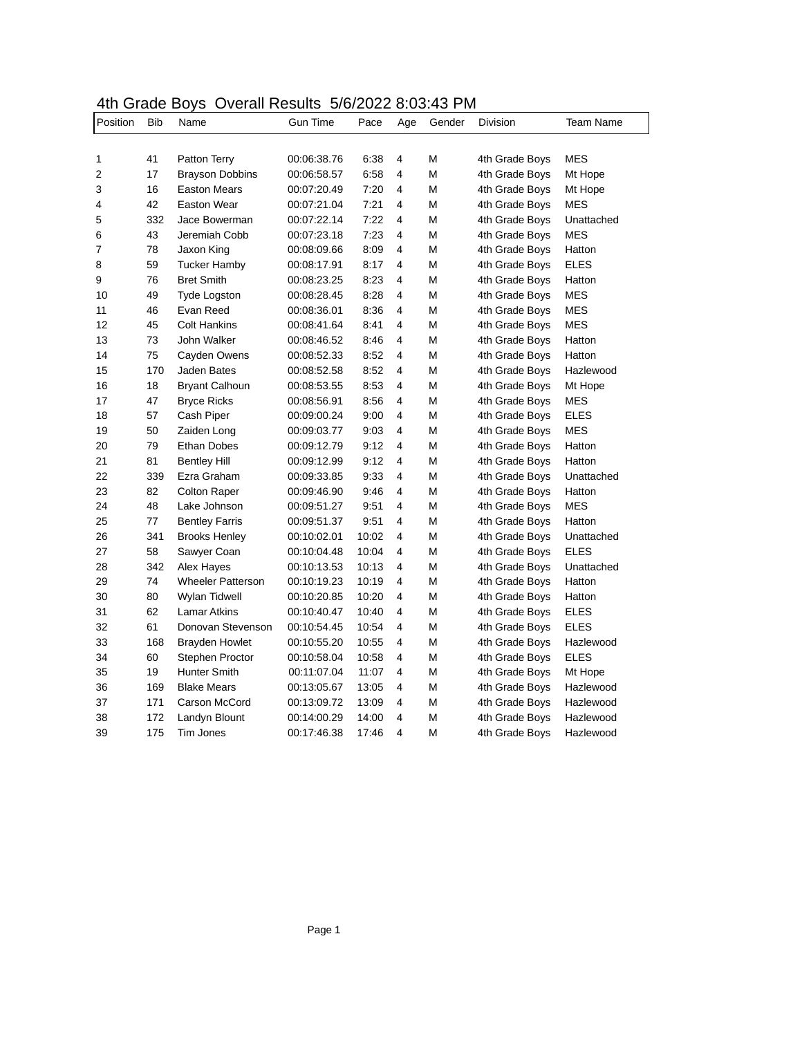## 4th Grade Boys Overall Results 5/6/2022 8:03:43 PM

| Position       | <b>Bib</b> | Name                     | <b>Gun Time</b> | Pace  | Age            | Gender | <b>Division</b> | <b>Team Name</b> |
|----------------|------------|--------------------------|-----------------|-------|----------------|--------|-----------------|------------------|
|                |            |                          |                 |       |                |        |                 |                  |
| 1              | 41         | Patton Terry             | 00:06:38.76     | 6:38  | 4              | М      | 4th Grade Boys  | MES              |
| 2              | 17         | <b>Brayson Dobbins</b>   | 00:06:58.57     | 6:58  | $\overline{4}$ | М      | 4th Grade Boys  | Mt Hope          |
| 3              | 16         | <b>Easton Mears</b>      | 00:07:20.49     | 7:20  | $\overline{4}$ | М      | 4th Grade Boys  | Mt Hope          |
| 4              | 42         | <b>Easton Wear</b>       | 00:07:21.04     | 7:21  | 4              | М      | 4th Grade Boys  | <b>MES</b>       |
| 5              | 332        | Jace Bowerman            | 00:07:22.14     | 7:22  | $\overline{4}$ | М      | 4th Grade Boys  | Unattached       |
| 6              | 43         | Jeremiah Cobb            | 00:07:23.18     | 7:23  | $\overline{4}$ | М      | 4th Grade Boys  | <b>MES</b>       |
| $\overline{7}$ | 78         | Jaxon King               | 00:08:09.66     | 8:09  | 4              | М      | 4th Grade Boys  | Hatton           |
| 8              | 59         | <b>Tucker Hamby</b>      | 00:08:17.91     | 8:17  | $\overline{4}$ | М      | 4th Grade Boys  | <b>ELES</b>      |
| 9              | 76         | <b>Bret Smith</b>        | 00:08:23.25     | 8:23  | $\overline{4}$ | М      | 4th Grade Boys  | Hatton           |
| 10             | 49         | Tyde Logston             | 00:08:28.45     | 8:28  | 4              | М      | 4th Grade Boys  | <b>MES</b>       |
| 11             | 46         | Evan Reed                | 00:08:36.01     | 8:36  | $\overline{4}$ | М      | 4th Grade Boys  | <b>MES</b>       |
| 12             | 45         | <b>Colt Hankins</b>      | 00:08:41.64     | 8:41  | $\overline{4}$ | М      | 4th Grade Boys  | <b>MES</b>       |
| 13             | 73         | John Walker              | 00:08:46.52     | 8:46  | 4              | М      | 4th Grade Boys  | Hatton           |
| 14             | 75         | Cayden Owens             | 00:08:52.33     | 8:52  | 4              | М      | 4th Grade Boys  | Hatton           |
| 15             | 170        | Jaden Bates              | 00:08:52.58     | 8:52  | 4              | М      | 4th Grade Boys  | Hazlewood        |
| 16             | 18         | <b>Bryant Calhoun</b>    | 00:08:53.55     | 8:53  | $\overline{4}$ | М      | 4th Grade Boys  | Mt Hope          |
| 17             | 47         | <b>Bryce Ricks</b>       | 00:08:56.91     | 8:56  | 4              | М      | 4th Grade Boys  | MES              |
| 18             | 57         | Cash Piper               | 00:09:00.24     | 9:00  | $\overline{4}$ | М      | 4th Grade Boys  | <b>ELES</b>      |
| 19             | 50         | Zaiden Long              | 00:09:03.77     | 9:03  | $\overline{4}$ | М      | 4th Grade Boys  | <b>MES</b>       |
| 20             | 79         | <b>Ethan Dobes</b>       | 00:09:12.79     | 9:12  | $\overline{4}$ | М      | 4th Grade Boys  | Hatton           |
| 21             | 81         | <b>Bentley Hill</b>      | 00:09:12.99     | 9:12  | $\overline{4}$ | М      | 4th Grade Boys  | Hatton           |
| 22             | 339        | Ezra Graham              | 00:09:33.85     | 9:33  | $\overline{4}$ | М      | 4th Grade Boys  | Unattached       |
| 23             | 82         | <b>Colton Raper</b>      | 00:09:46.90     | 9:46  | 4              | М      | 4th Grade Boys  | Hatton           |
| 24             | 48         | Lake Johnson             | 00:09:51.27     | 9:51  | 4              | М      | 4th Grade Boys  | <b>MES</b>       |
| 25             | 77         | <b>Bentley Farris</b>    | 00:09:51.37     | 9:51  | $\overline{4}$ | М      | 4th Grade Boys  | Hatton           |
| 26             | 341        | <b>Brooks Henley</b>     | 00:10:02.01     | 10:02 | 4              | М      | 4th Grade Boys  | Unattached       |
| 27             | 58         | Sawyer Coan              | 00:10:04.48     | 10:04 | 4              | М      | 4th Grade Boys  | ELES             |
| 28             | 342        | Alex Hayes               | 00:10:13.53     | 10:13 | 4              | М      | 4th Grade Boys  | Unattached       |
| 29             | 74         | <b>Wheeler Patterson</b> | 00:10:19.23     | 10:19 | 4              | М      | 4th Grade Boys  | Hatton           |
| 30             | 80         | Wylan Tidwell            | 00:10:20.85     | 10:20 | 4              | М      | 4th Grade Boys  | Hatton           |
| 31             | 62         | <b>Lamar Atkins</b>      | 00:10:40.47     | 10:40 | 4              | М      | 4th Grade Boys  | <b>ELES</b>      |
| 32             | 61         | Donovan Stevenson        | 00:10:54.45     | 10:54 | $\overline{4}$ | М      | 4th Grade Boys  | <b>ELES</b>      |
| 33             | 168        | Brayden Howlet           | 00:10:55.20     | 10:55 | 4              | М      | 4th Grade Boys  | Hazlewood        |
| 34             | 60         | Stephen Proctor          | 00:10:58.04     | 10:58 | $\overline{4}$ | М      | 4th Grade Boys  | <b>ELES</b>      |
| 35             | 19         | <b>Hunter Smith</b>      | 00:11:07.04     | 11:07 | 4              | М      | 4th Grade Boys  | Mt Hope          |
| 36             | 169        | <b>Blake Mears</b>       | 00:13:05.67     | 13:05 | 4              | М      | 4th Grade Boys  | Hazlewood        |
| 37             | 171        | Carson McCord            | 00:13:09.72     | 13:09 | 4              | М      | 4th Grade Boys  | Hazlewood        |
| 38             | 172        | Landyn Blount            | 00:14:00.29     | 14:00 | 4              | М      | 4th Grade Boys  | Hazlewood        |
| 39             | 175        | Tim Jones                | 00:17:46.38     | 17:46 | 4              | M      | 4th Grade Boys  | Hazlewood        |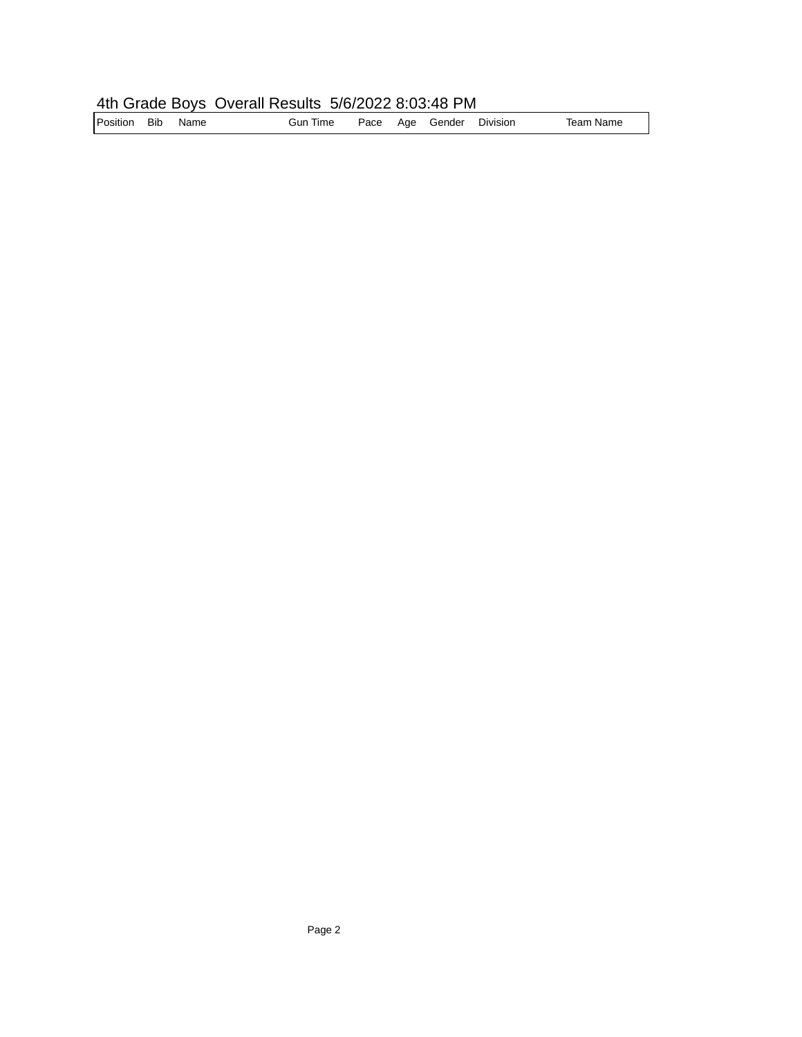## 4th Grade Boys Overall Results 5/6/2022 8:03:48 PM

| Position | <b>Bib</b> | Name | Gun Time |  |  | Pace Age Gender | Division | Team Name |
|----------|------------|------|----------|--|--|-----------------|----------|-----------|
|----------|------------|------|----------|--|--|-----------------|----------|-----------|